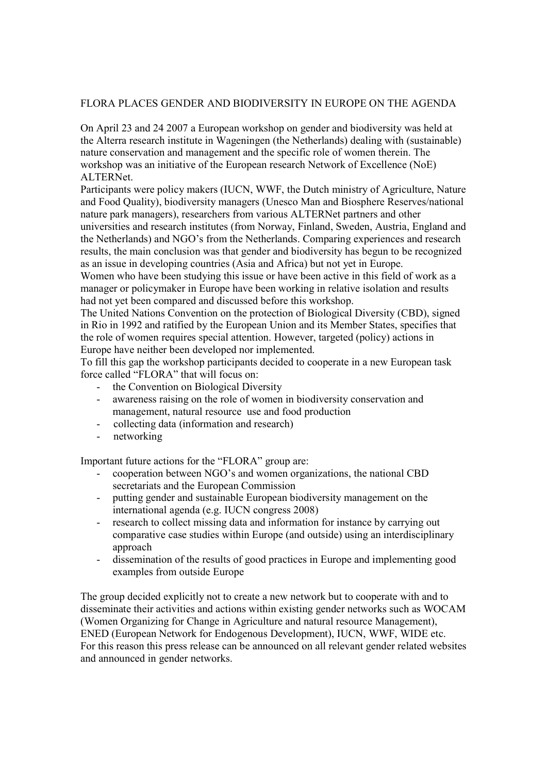## FLORA PLACES GENDER AND BIODIVERSITY IN EUROPE ON THE AGENDA

On April 23 and 24 2007 a European workshop on gender and biodiversity was held at the Alterra research institute in Wageningen (the Netherlands) dealing with (sustainable) nature conservation and management and the specific role of women therein. The workshop was an initiative of the European research Network of Excellence (NoE) ALTERNet.

Participants were policy makers (IUCN, WWF, the Dutch ministry of Agriculture, Nature and Food Quality), biodiversity managers (Unesco Man and Biosphere Reserves/national nature park managers), researchers from various ALTERNet partners and other universities and research institutes (from Norway, Finland, Sweden, Austria, England and the Netherlands) and NGO's from the Netherlands. Comparing experiences and research results, the main conclusion was that gender and biodiversity has begun to be recognized as an issue in developing countries (Asia and Africa) but not yet in Europe.

Women who have been studying this issue or have been active in this field of work as a manager or policymaker in Europe have been working in relative isolation and results had not yet been compared and discussed before this workshop.

The United Nations Convention on the protection of Biological Diversity (CBD), signed in Rio in 1992 and ratified by the European Union and its Member States, specifies that the role of women requires special attention. However, targeted (policy) actions in Europe have neither been developed nor implemented.

To fill this gap the workshop participants decided to cooperate in a new European task force called "FLORA" that will focus on:

- the Convention on Biological Diversity
- awareness raising on the role of women in biodiversity conservation and management, natural resource use and food production
- collecting data (information and research)
- networking

Important future actions for the "FLORA" group are:

- cooperation between NGO's and women organizations, the national CBD secretariats and the European Commission
- putting gender and sustainable European biodiversity management on the international agenda (e.g. IUCN congress 2008)
- research to collect missing data and information for instance by carrying out comparative case studies within Europe (and outside) using an interdisciplinary approach
- dissemination of the results of good practices in Europe and implementing good examples from outside Europe

The group decided explicitly not to create a new network but to cooperate with and to disseminate their activities and actions within existing gender networks such as WOCAM (Women Organizing for Change in Agriculture and natural resource Management), ENED (European Network for Endogenous Development), IUCN, WWF, WIDE etc. For this reason this press release can be announced on all relevant gender related websites and announced in gender networks.